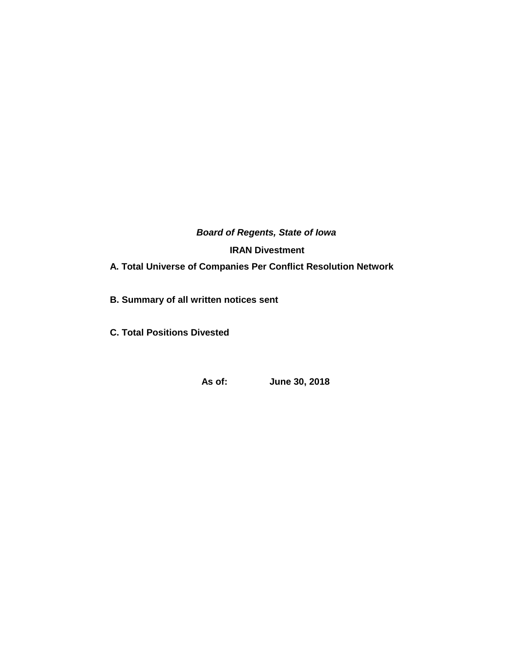*Board of Regents, State of Iowa* **IRAN Divestment A. Total Universe of Companies Per Conflict Resolution Network** 

**B. Summary of all written notices sent** 

**C. Total Positions Divested**

**As of: June 30, 2018**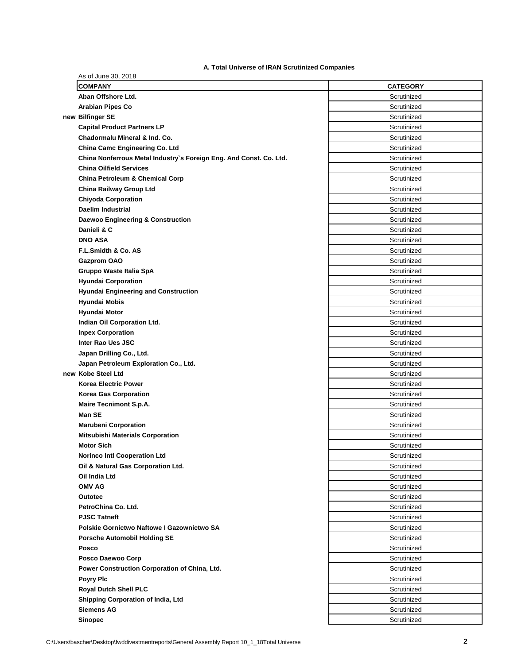# **A. Total Universe of IRAN Scrutinized Companies**

| As of June 30, 2018                                                |                 |
|--------------------------------------------------------------------|-----------------|
| <b>COMPANY</b>                                                     | <b>CATEGORY</b> |
| Aban Offshore Ltd.                                                 | Scrutinized     |
| <b>Arabian Pipes Co</b>                                            | Scrutinized     |
| new Bilfinger SE                                                   | Scrutinized     |
| <b>Capital Product Partners LP</b>                                 | Scrutinized     |
| Chadormalu Mineral & Ind. Co.                                      | Scrutinized     |
| China Camc Engineering Co. Ltd                                     | Scrutinized     |
| China Nonferrous Metal Industry's Foreign Eng. And Const. Co. Ltd. | Scrutinized     |
| <b>China Oilfield Services</b>                                     | Scrutinized     |
| <b>China Petroleum &amp; Chemical Corp</b>                         | Scrutinized     |
| <b>China Railway Group Ltd</b>                                     | Scrutinized     |
| <b>Chiyoda Corporation</b>                                         | Scrutinized     |
| <b>Daelim Industrial</b>                                           | Scrutinized     |
| Daewoo Engineering & Construction                                  | Scrutinized     |
| Danieli & C                                                        | Scrutinized     |
| <b>DNO ASA</b>                                                     | Scrutinized     |
| F.L.Smidth & Co. AS                                                | Scrutinized     |
| <b>Gazprom OAO</b>                                                 | Scrutinized     |
| Gruppo Waste Italia SpA                                            | Scrutinized     |
| <b>Hyundai Corporation</b>                                         | Scrutinized     |
| <b>Hyundai Engineering and Construction</b>                        | Scrutinized     |
| <b>Hyundai Mobis</b>                                               | Scrutinized     |
| <b>Hyundai Motor</b>                                               | Scrutinized     |
| Indian Oil Corporation Ltd.                                        | Scrutinized     |
| <b>Inpex Corporation</b>                                           | Scrutinized     |
| Inter Rao Ues JSC                                                  | Scrutinized     |
| Japan Drilling Co., Ltd.                                           | Scrutinized     |
| Japan Petroleum Exploration Co., Ltd.                              | Scrutinized     |
| new Kobe Steel Ltd                                                 | Scrutinized     |
| <b>Korea Electric Power</b>                                        | Scrutinized     |
| <b>Korea Gas Corporation</b>                                       | Scrutinized     |
| <b>Maire Tecnimont S.p.A.</b>                                      | Scrutinized     |
| Man SE                                                             | Scrutinized     |
| <b>Marubeni Corporation</b>                                        | Scrutinized     |
| <b>Mitsubishi Materials Corporation</b>                            | Scrutinized     |
| <b>Motor Sich</b>                                                  | Scrutinized     |
| <b>Norinco Intl Cooperation Ltd</b>                                | Scrutinized     |
| Oil & Natural Gas Corporation Ltd.                                 | Scrutinized     |
| Oil India Ltd                                                      | Scrutinized     |
| <b>OMV AG</b>                                                      | Scrutinized     |
| <b>Outotec</b>                                                     | Scrutinized     |
| PetroChina Co. Ltd.                                                | Scrutinized     |
| <b>PJSC Tatneft</b>                                                | Scrutinized     |
| Polskie Gornictwo Naftowe I Gazownictwo SA                         | Scrutinized     |
| <b>Porsche Automobil Holding SE</b>                                | Scrutinized     |
| Posco                                                              | Scrutinized     |
| Posco Daewoo Corp                                                  | Scrutinized     |
| Power Construction Corporation of China, Ltd.                      | Scrutinized     |
| <b>Poyry Plc</b>                                                   | Scrutinized     |
| <b>Royal Dutch Shell PLC</b>                                       | Scrutinized     |
| Shipping Corporation of India, Ltd                                 | Scrutinized     |
| <b>Siemens AG</b>                                                  | Scrutinized     |
| <b>Sinopec</b>                                                     | Scrutinized     |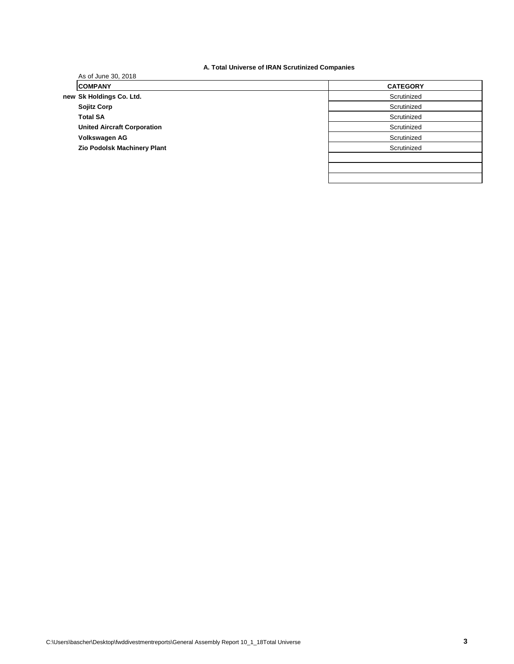| A. Total Universe of IRAN Scrutinized Companies |  |
|-------------------------------------------------|--|
|-------------------------------------------------|--|

|                                    | A TOM OM YORGO OF MANY CORMITIED COMPANION |
|------------------------------------|--------------------------------------------|
| As of June 30, 2018                |                                            |
| <b>COMPANY</b>                     | <b>CATEGORY</b>                            |
| new Sk Holdings Co. Ltd.           | Scrutinized                                |
| <b>Sojitz Corp</b>                 | Scrutinized                                |
| <b>Total SA</b>                    | Scrutinized                                |
| <b>United Aircraft Corporation</b> | Scrutinized                                |
| Volkswagen AG                      | Scrutinized                                |
| Zio Podolsk Machinery Plant        | Scrutinized                                |
|                                    |                                            |
|                                    |                                            |
|                                    |                                            |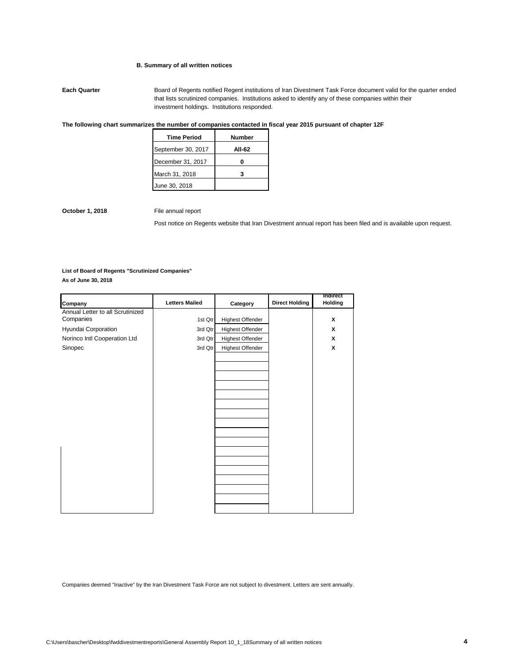### **B. Summary of all written notices**

**Each Quarter Board of Regents notified Regent institutions of Iran Divestment Task Force document valid for the quarter ended** that lists scrutinized companies. Institutions asked to identify any of these companies within their investment holdings. Institutions responded.

# **The following chart summarizes the number of companies contacted in fiscal year 2015 pursuant of chapter 12F**

| <b>Time Period</b> | <b>Number</b> |
|--------------------|---------------|
| September 30, 2017 | AII-62        |
| December 31, 2017  |               |
| March 31, 2018     |               |
| June 30, 2018      |               |

**October 1, 2018** File annual report

Post notice on Regents website that Iran Divestment annual report has been filed and is available upon request.

#### **List of Board of Regents "Scrutinized Companies"**

**As of June 30, 2018**

| Company                          | <b>Letters Mailed</b> | Category                | <b>Direct Holding</b> | Indirect<br>Holding |
|----------------------------------|-----------------------|-------------------------|-----------------------|---------------------|
| Annual Letter to all Scrutinized |                       |                         |                       |                     |
| Companies                        | 1st Qtr               | Highest Offender        |                       | x                   |
| Hyundai Corporation              | 3rd Qtr               | Highest Offender        |                       | x                   |
| Norinco Intl Cooperation Ltd     | 3rd Qtr               | Highest Offender        |                       | x                   |
| Sinopec                          | 3rd Qtr               | <b>Highest Offender</b> |                       | x                   |
|                                  |                       |                         |                       |                     |
|                                  |                       |                         |                       |                     |
|                                  |                       |                         |                       |                     |
|                                  |                       |                         |                       |                     |
|                                  |                       |                         |                       |                     |
|                                  |                       |                         |                       |                     |
|                                  |                       |                         |                       |                     |
|                                  |                       |                         |                       |                     |
|                                  |                       |                         |                       |                     |
|                                  |                       |                         |                       |                     |
|                                  |                       |                         |                       |                     |
|                                  |                       |                         |                       |                     |
|                                  |                       |                         |                       |                     |

Companies deemed "Inactive" by the Iran Divestment Task Force are not subject to divestment. Letters are sent annually.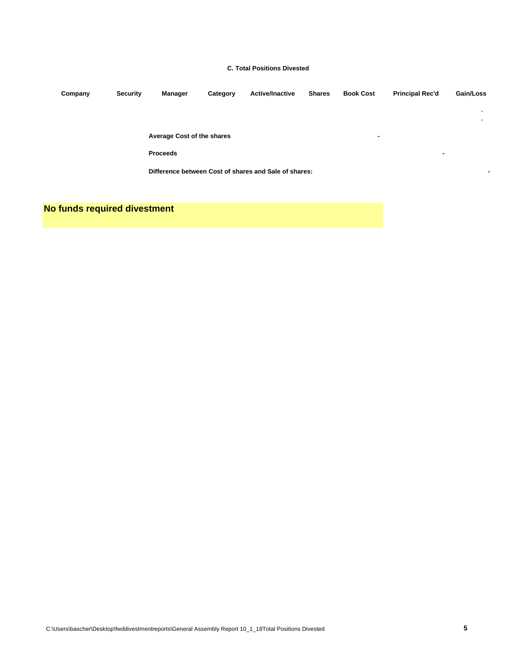### **C. Total Positions Divested**

| Company | <b>Security</b> | Manager                    | Category | <b>Active/Inactive</b>                                | <b>Shares</b> | <b>Book Cost</b>         | <b>Principal Rec'd</b>   | Gain/Loss                |
|---------|-----------------|----------------------------|----------|-------------------------------------------------------|---------------|--------------------------|--------------------------|--------------------------|
|         |                 |                            |          |                                                       |               |                          |                          | $\overline{\phantom{a}}$ |
|         |                 |                            |          |                                                       |               |                          |                          | $\overline{\phantom{a}}$ |
|         |                 | Average Cost of the shares |          |                                                       |               | $\overline{\phantom{0}}$ |                          |                          |
|         |                 | <b>Proceeds</b>            |          |                                                       |               |                          | $\overline{\phantom{a}}$ |                          |
|         |                 |                            |          | Difference between Cost of shares and Sale of shares: |               |                          |                          | ۰                        |
|         |                 |                            |          |                                                       |               |                          |                          |                          |

**No funds required divestment**